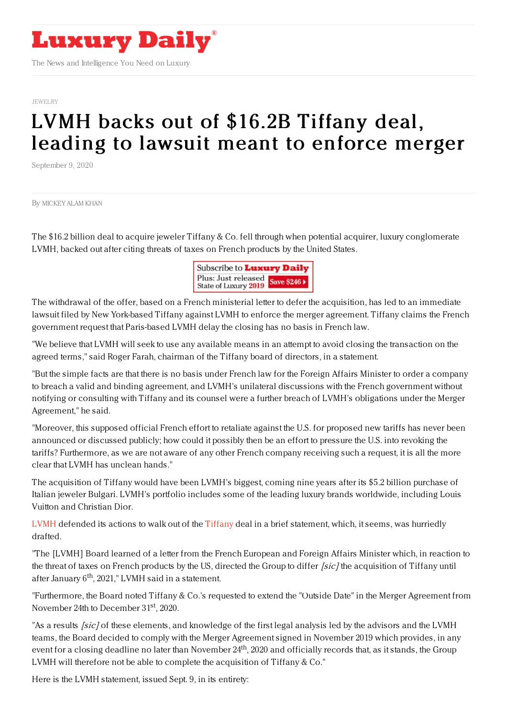

[JEWELRY](https://www.luxurydaily.com/category/sectors/jewelry/)

## LVMH backs out of \$16.2B Tiffany deal, leading to lawsuit meant to [enforce](https://www.luxurydaily.com/?p=312550) merger

September 9, 2020

By [MICKEY](file:///author/mickey) ALAM KHAN

The \$16.2 billion deal to acquire jeweler Tiffany & Co. fell through when potential acquirer, luxury conglomerate LVMH, backed out after citing threats of taxes on French products by the United States.



The withdrawal of the offer, based on a French ministerial letter to defer the acquisition, has led to an immediate lawsuit filed by New York-based Tiffany against LVMH to enforce the merger agreement. Tiffany claims the French government request that Paris-based LVMH delay the closing has no basis in French law.

"We believe that LVMH will seek to use any available means in an attempt to avoid closing the transaction on the agreed terms," said Roger Farah, chairman of the Tiffany board of directors, in a statement.

"But the simple facts are that there is no basis under French law for the Foreign Affairs Minister to order a company to breach a valid and binding agreement, and LVMH's unilateral discussions with the French government without notifying or consulting with Tiffany and its counsel were a further breach of LVMH's obligations under the Merger Agreement," he said.

"Moreover, this supposed official French effort to retaliate against the U.S. for proposed new tariffs has never been announced or discussed publicly; how could it possibly then be an effort to pressure the U.S. into revoking the tariffs? Furthermore, as we are not aware of any other French company receiving such a request, it is all the more clear that LVMH has unclean hands."

The acquisition of Tiffany would have been LVMH's biggest, coming nine years after its \$5.2 billion purchase of Italian jeweler Bulgari. LVMH's portfolio includes some of the leading luxury brands worldwide, including Louis Vuitton and Christian Dior.

[LVMH](https://www.lvmh.com/news-documents/press-releases/press-release-09092020/) defended its actions to walk out of the [Tiffany](https://investor.tiffany.com/news-releases/news-release-details/tiffany-files-lawsuit-against-lvmh-enforce-merger-agreement) deal in a brief statement, which, it seems, was hurriedly drafted.

"The [LVMH] Board learned of a letter from the French European and Foreign Affairs Minister which, in reaction to the threat of taxes on French products by the US, directed the Group to differ *[sic]* the acquisition of Tiffany until after January 6<sup>th</sup>, 2021," LVMH said in a statement.

"Furthermore, the Board noted Tiffany & Co.'s requested to extend the "Outside Date" in the Merger Agreement from November 24th to December 31<sup>st</sup>, 2020.

"As a results *[sic]* of these elements, and knowledge of the first legal analysis led by the advisors and the LVMH teams, the Board decided to comply with the Merger Agreement signed in November 2019 which provides, in any event for a closing deadline no later than November 24<sup>th</sup>, 2020 and officially records that, as it stands, the Group LVMH will therefore not be able to complete the acquisition of Tiffany & Co."

Here is the LVMH statement, issued Sept. 9, in its entirety: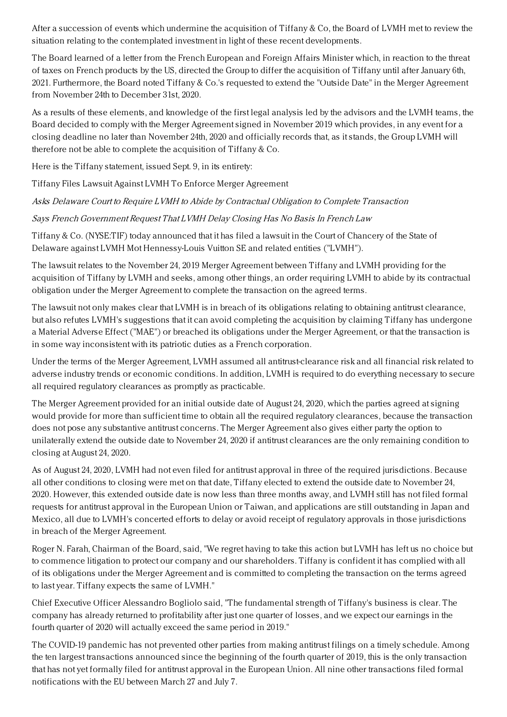After a succession of events which undermine the acquisition of Tiffany & Co, the Board of LVMH met to review the situation relating to the contemplated investment in light of these recent developments.

The Board learned of a letter from the French European and Foreign Affairs Minister which, in reaction to the threat of taxes on French products by the US, directed the Group to differ the acquisition of Tiffany until after January 6th, 2021. Furthermore, the Board noted Tiffany & Co.'s requested to extend the "Outside Date" in the Merger Agreement from November 24th to December 31st, 2020.

As a results of these elements, and knowledge of the first legal analysis led by the advisors and the LVMH teams, the Board decided to comply with the Merger Agreement signed in November 2019 which provides, in any event for a closing deadline no later than November 24th, 2020 and officially records that, as it stands, the Group LVMH will therefore not be able to complete the acquisition of Tiffany & Co.

Here is the Tiffany statement, issued Sept. 9, in its entirety:

Tiffany Files Lawsuit Against LVMH To Enforce Merger Agreement

Asks Delaware Court to Require LVMH to Abide by Contractual Obligation to Complete Transaction

Says French Government Request That LVMH Delay Closing Has No Basis In French Law

Tiffany & Co. (NYSE:TIF) today announced that it has filed a lawsuit in the Court of Chancery of the State of Delaware against LVMH Mot Hennessy-Louis Vuitton SE and related entities ("LVMH").

The lawsuit relates to the November 24, 2019 Merger Agreement between Tiffany and LVMH providing for the acquisition of Tiffany by LVMH and seeks, among other things, an order requiring LVMH to abide by its contractual obligation under the Merger Agreement to complete the transaction on the agreed terms.

The lawsuit not only makes clear that LVMH is in breach of its obligations relating to obtaining antitrust clearance, but also refutes LVMH's suggestions that it can avoid completing the acquisition by claiming Tiffany has undergone a Material Adverse Effect ("MAE") or breached its obligations under the Merger Agreement, or that the transaction is in some way inconsistent with its patriotic duties as a French corporation.

Under the terms of the Merger Agreement, LVMH assumed all antitrust-clearance risk and all financial risk related to adverse industry trends or economic conditions. In addition, LVMH is required to do everything necessary to secure all required regulatory clearances as promptly as practicable.

The Merger Agreement provided for an initial outside date of August 24, 2020, which the parties agreed at signing would provide for more than sufficient time to obtain all the required regulatory clearances, because the transaction does not pose any substantive antitrust concerns. The Merger Agreement also gives either party the option to unilaterally extend the outside date to November 24, 2020 if antitrust clearances are the only remaining condition to closing at August 24, 2020.

As of August 24, 2020, LVMH had not even filed for antitrust approval in three of the required jurisdictions. Because all other conditions to closing were met on that date, Tiffany elected to extend the outside date to November 24, 2020. However, this extended outside date is now less than three months away, and LVMH still has not filed formal requests for antitrust approval in the European Union or Taiwan, and applications are still outstanding in Japan and Mexico, all due to LVMH's concerted efforts to delay or avoid receipt of regulatory approvals in those jurisdictions in breach of the Merger Agreement.

Roger N. Farah, Chairman of the Board, said, "We regret having to take this action but LVMH has left us no choice but to commence litigation to protect our company and our shareholders. Tiffany is confident it has complied with all of its obligations under the Merger Agreement and is committed to completing the transaction on the terms agreed to last year. Tiffany expects the same of LVMH."

Chief Executive Officer Alessandro Bogliolo said, "The fundamental strength of Tiffany's business is clear. The company has already returned to profitability after just one quarter of losses, and we expect our earnings in the fourth quarter of 2020 will actually exceed the same period in 2019."

The COVID-19 pandemic has not prevented other parties from making antitrust filings on a timely schedule. Among the ten largest transactions announced since the beginning of the fourth quarter of 2019, this is the only transaction that has not yet formally filed for antitrust approval in the European Union. All nine other transactions filed formal notifications with the EU between March 27 and July 7.